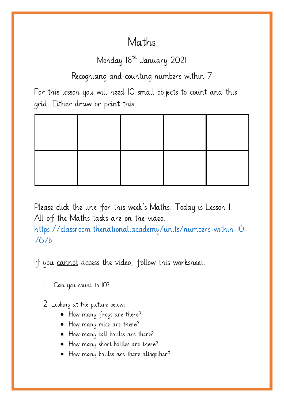## Maths

## Monday 18<sup>th</sup> January 2021

Recognising and counting numbers within 7

For this lesson you will need IO small objects to count and this grid. Either draw or print this.

Please click the link for this week's Maths. Today is Lesson 1. All of the Maths tasks are on the video. [https://classroom.thenational.academy/units/numbers-within-10-](https://classroom.thenational.academy/units/numbers-within-10-767b) [767b](https://classroom.thenational.academy/units/numbers-within-10-767b)

If you cannot access the video, follow this worksheet.

1. Can you count to 10?

2. Looking at the picture below:

- How many frogs are there?
- How many mice are there?
- How many tall bottles are there?
- How many short bottles are there?
- How many bottles are there altogether?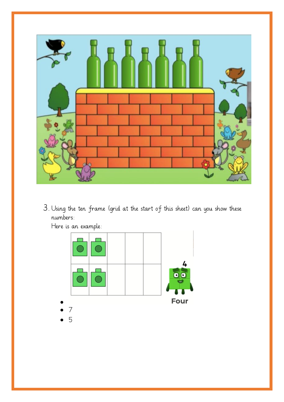

3. Using the ten frame (grid at the start of this sheet) can you show these numbers:



Here is an example: